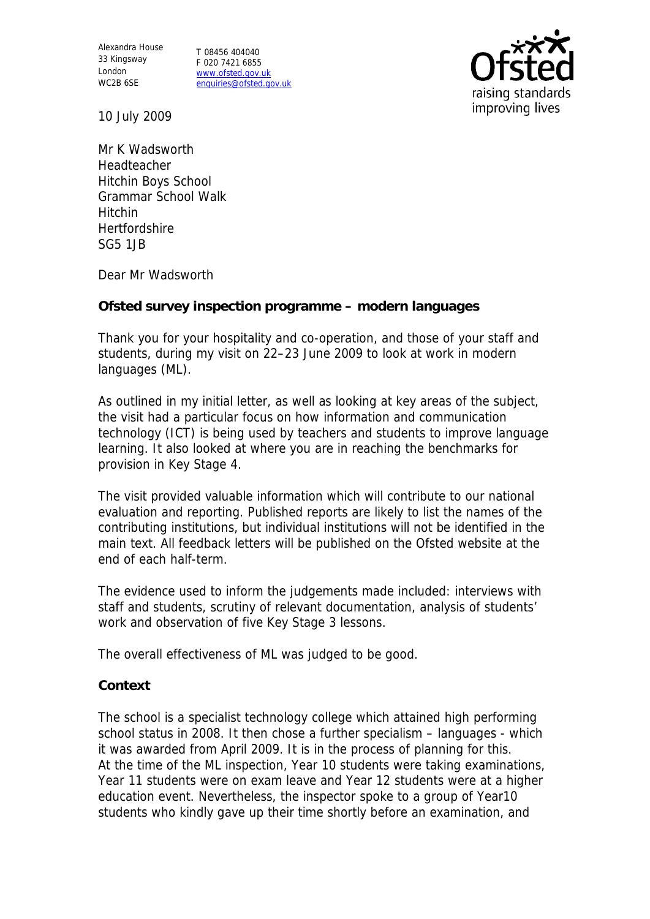Alexandra House 33 Kingsway London WC2B 6SE

T 08456 404040 F 020 7421 6855 www.ofsted.gov.uk enquiries@ofsted.gov.uk



10 July 2009

Mr K Wadsworth Headteacher Hitchin Boys School Grammar School Walk Hitchin **Hertfordshire** SG5 1JB

Dear Mr Wadsworth

**Ofsted survey inspection programme – modern languages**

Thank you for your hospitality and co-operation, and those of your staff and students, during my visit on 22–23 June 2009 to look at work in modern languages (ML).

As outlined in my initial letter, as well as looking at key areas of the subject, the visit had a particular focus on how information and communication technology (ICT) is being used by teachers and students to improve language learning. It also looked at where you are in reaching the benchmarks for provision in Key Stage 4.

The visit provided valuable information which will contribute to our national evaluation and reporting. Published reports are likely to list the names of the contributing institutions, but individual institutions will not be identified in the main text. All feedback letters will be published on the Ofsted website at the end of each half-term.

The evidence used to inform the judgements made included: interviews with staff and students, scrutiny of relevant documentation, analysis of students' work and observation of five Key Stage 3 lessons.

The overall effectiveness of ML was judged to be good.

## **Context**

The school is a specialist technology college which attained high performing school status in 2008. It then chose a further specialism – languages - which it was awarded from April 2009. It is in the process of planning for this. At the time of the ML inspection, Year 10 students were taking examinations, Year 11 students were on exam leave and Year 12 students were at a higher education event. Nevertheless, the inspector spoke to a group of Year10 students who kindly gave up their time shortly before an examination, and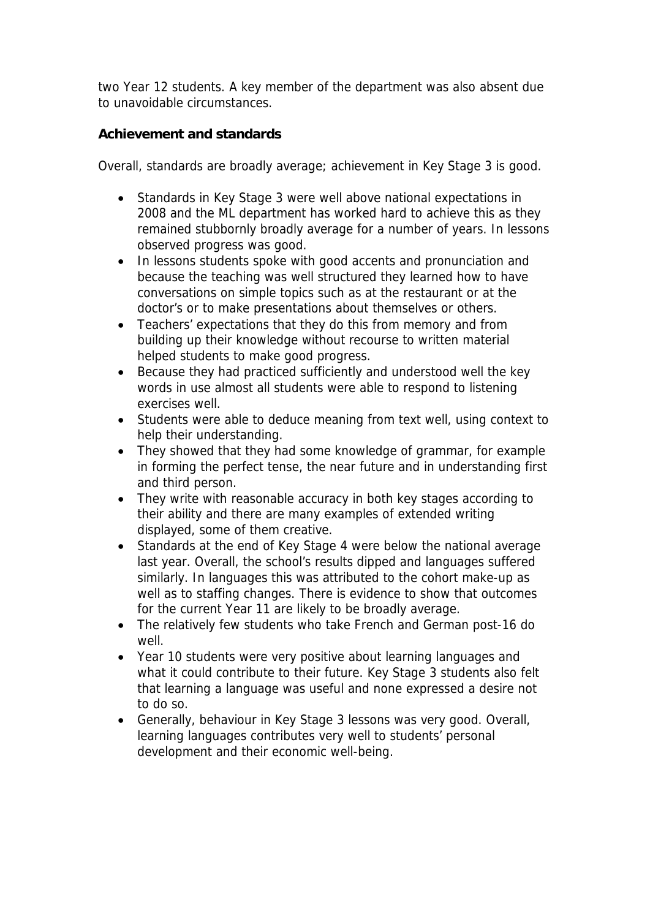two Year 12 students. A key member of the department was also absent due to unavoidable circumstances.

**Achievement and standards** 

Overall, standards are broadly average; achievement in Key Stage 3 is good.

- Standards in Key Stage 3 were well above national expectations in 2008 and the ML department has worked hard to achieve this as they remained stubbornly broadly average for a number of years. In lessons observed progress was good.
- In lessons students spoke with good accents and pronunciation and because the teaching was well structured they learned how to have conversations on simple topics such as at the restaurant or at the doctor's or to make presentations about themselves or others.
- Teachers' expectations that they do this from memory and from building up their knowledge without recourse to written material helped students to make good progress.
- Because they had practiced sufficiently and understood well the key words in use almost all students were able to respond to listening exercises well.
- Students were able to deduce meaning from text well, using context to help their understanding.
- They showed that they had some knowledge of grammar, for example in forming the perfect tense, the near future and in understanding first and third person.
- They write with reasonable accuracy in both key stages according to their ability and there are many examples of extended writing displayed, some of them creative.
- Standards at the end of Key Stage 4 were below the national average last year. Overall, the school's results dipped and languages suffered similarly. In languages this was attributed to the cohort make-up as well as to staffing changes. There is evidence to show that outcomes for the current Year 11 are likely to be broadly average.
- The relatively few students who take French and German post-16 do well.
- Year 10 students were very positive about learning languages and what it could contribute to their future. Key Stage 3 students also felt that learning a language was useful and none expressed a desire not to do so.
- Generally, behaviour in Key Stage 3 lessons was very good. Overall, learning languages contributes very well to students' personal development and their economic well-being.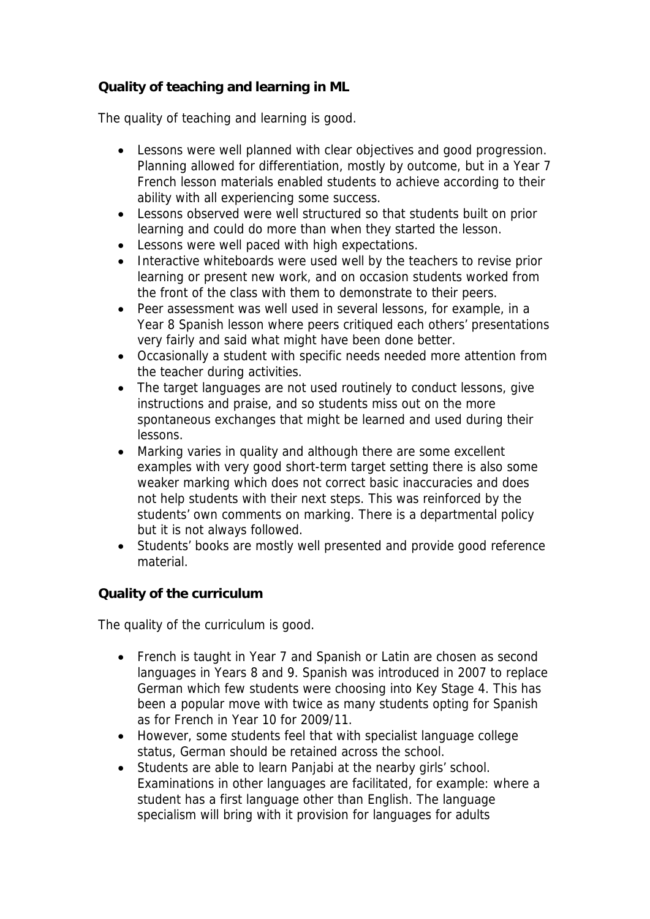## **Quality of teaching and learning in ML**

The quality of teaching and learning is good.

- Lessons were well planned with clear objectives and good progression. Planning allowed for differentiation, mostly by outcome, but in a Year 7 French lesson materials enabled students to achieve according to their ability with all experiencing some success.
- Lessons observed were well structured so that students built on prior learning and could do more than when they started the lesson.
- Lessons were well paced with high expectations.
- Interactive whiteboards were used well by the teachers to revise prior learning or present new work, and on occasion students worked from the front of the class with them to demonstrate to their peers.
- Peer assessment was well used in several lessons, for example, in a Year 8 Spanish lesson where peers critiqued each others' presentations very fairly and said what might have been done better.
- Occasionally a student with specific needs needed more attention from the teacher during activities.
- The target languages are not used routinely to conduct lessons, give instructions and praise, and so students miss out on the more spontaneous exchanges that might be learned and used during their lessons.
- Marking varies in quality and although there are some excellent examples with very good short-term target setting there is also some weaker marking which does not correct basic inaccuracies and does not help students with their next steps. This was reinforced by the students' own comments on marking. There is a departmental policy but it is not always followed.
- Students' books are mostly well presented and provide good reference material.

**Quality of the curriculum** 

The quality of the curriculum is good.

- French is taught in Year 7 and Spanish or Latin are chosen as second languages in Years 8 and 9. Spanish was introduced in 2007 to replace German which few students were choosing into Key Stage 4. This has been a popular move with twice as many students opting for Spanish as for French in Year 10 for 2009/11.
- However, some students feel that with specialist language college status, German should be retained across the school.
- Students are able to learn Panjabi at the nearby girls' school. Examinations in other languages are facilitated, for example: where a student has a first language other than English. The language specialism will bring with it provision for languages for adults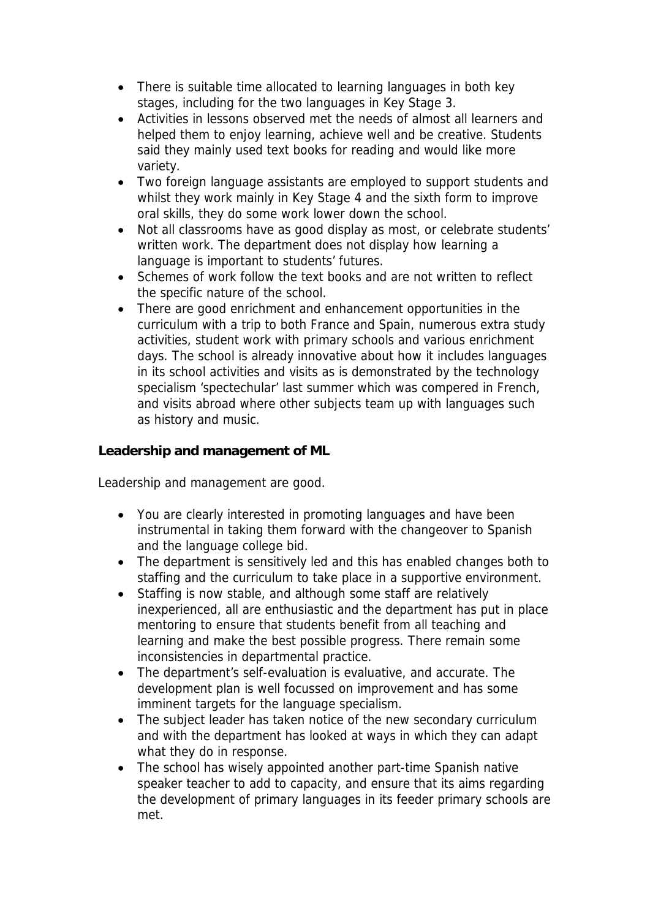- There is suitable time allocated to learning languages in both key stages, including for the two languages in Key Stage 3.
- Activities in lessons observed met the needs of almost all learners and helped them to enjoy learning, achieve well and be creative. Students said they mainly used text books for reading and would like more variety.
- Two foreign language assistants are employed to support students and whilst they work mainly in Key Stage 4 and the sixth form to improve oral skills, they do some work lower down the school.
- Not all classrooms have as good display as most, or celebrate students' written work. The department does not display how learning a language is important to students' futures.
- Schemes of work follow the text books and are not written to reflect the specific nature of the school.
- There are good enrichment and enhancement opportunities in the curriculum with a trip to both France and Spain, numerous extra study activities, student work with primary schools and various enrichment days. The school is already innovative about how it includes languages in its school activities and visits as is demonstrated by the technology specialism 'spectechular' last summer which was compered in French, and visits abroad where other subjects team up with languages such as history and music.

**Leadership and management of ML**

Leadership and management are good.

- You are clearly interested in promoting languages and have been instrumental in taking them forward with the changeover to Spanish and the language college bid.
- The department is sensitively led and this has enabled changes both to staffing and the curriculum to take place in a supportive environment.
- Staffing is now stable, and although some staff are relatively inexperienced, all are enthusiastic and the department has put in place mentoring to ensure that students benefit from all teaching and learning and make the best possible progress. There remain some inconsistencies in departmental practice.
- The department's self-evaluation is evaluative, and accurate. The development plan is well focussed on improvement and has some imminent targets for the language specialism.
- The subject leader has taken notice of the new secondary curriculum and with the department has looked at ways in which they can adapt what they do in response.
- The school has wisely appointed another part-time Spanish native speaker teacher to add to capacity, and ensure that its aims regarding the development of primary languages in its feeder primary schools are met.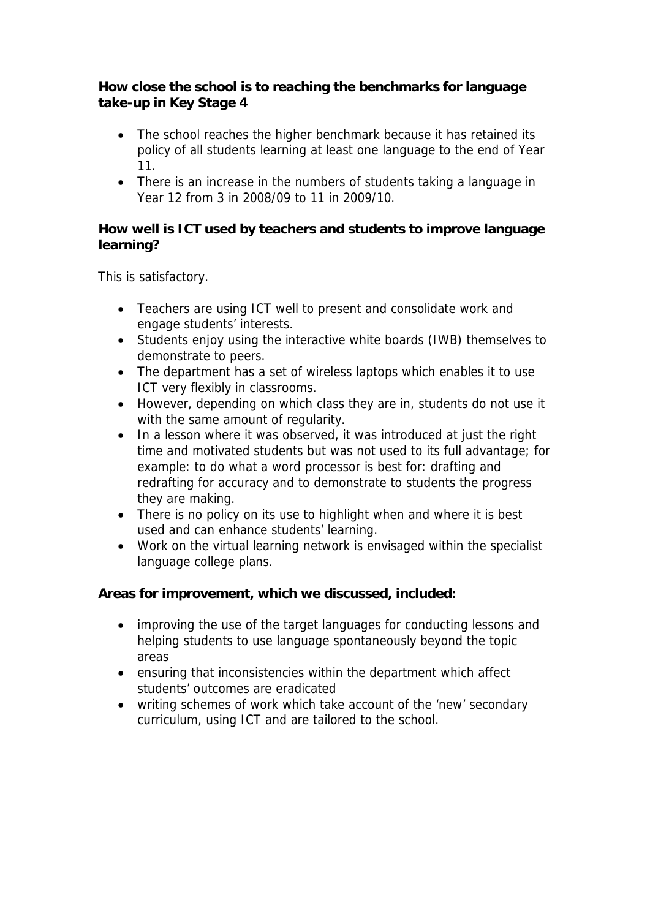**How close the school is to reaching the benchmarks for language take-up in Key Stage 4**

- The school reaches the higher benchmark because it has retained its policy of all students learning at least one language to the end of Year 11.
- There is an increase in the numbers of students taking a language in Year 12 from 3 in 2008/09 to 11 in 2009/10.

**How well is ICT used by teachers and students to improve language learning?** 

This is satisfactory.

- Teachers are using ICT well to present and consolidate work and engage students' interests.
- Students enjoy using the interactive white boards (IWB) themselves to demonstrate to peers.
- The department has a set of wireless laptops which enables it to use ICT very flexibly in classrooms.
- However, depending on which class they are in, students do not use it with the same amount of regularity.
- In a lesson where it was observed, it was introduced at just the right time and motivated students but was not used to its full advantage; for example: to do what a word processor is best for: drafting and redrafting for accuracy and to demonstrate to students the progress they are making.
- There is no policy on its use to highlight when and where it is best used and can enhance students' learning.
- Work on the virtual learning network is envisaged within the specialist language college plans.

**Areas for improvement, which we discussed, included:**

- improving the use of the target languages for conducting lessons and helping students to use language spontaneously beyond the topic areas
- ensuring that inconsistencies within the department which affect students' outcomes are eradicated
- writing schemes of work which take account of the 'new' secondary curriculum, using ICT and are tailored to the school.